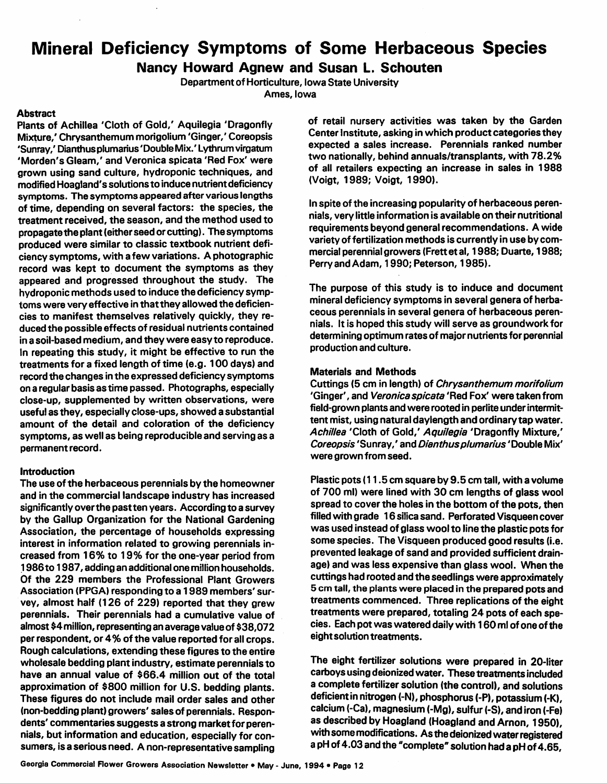## *Mineral Deficiency Symptoms of Some Herbaceous Species*

### *Nancy Howard Agnew and Susan L. Schouten*

*Department of Horticulture, Iowa State University Ames, Iowa*

#### *Abstract*

*Plants of Achillea 'Cloth of Gold/ Aquilegia 'Dragonfly Mixture/ Chrysanthemum morigolium 'Ginger/ Coreopsis 'Sunray/ Dianthus plumarius'Double Mix/ Lythrum virgatum 'Morden's Gleam/ and Veronica spicata 'Red Fox' were grown using sand culture, hydroponic techniques, and modified Hoagland's solutionsto induce nutrientdeficiency symptoms. The symptoms appeared after variouslengths of time, depending on several factors: the species, the treatment received, the season, and the method used to propagate the plant (either seed or cutting). The symptoms produced were similar to classic textbook nutrient defi ciency symptoms, with a few variations. A photographic record was kept to document the symptoms as they appeared and progressed throughout the study. The hydroponic methods used to induce the deficiency symp toms were very effective in thatthey allowed the deficien cies to manifest themselves relatively quickly, they re duced the possible effects ofresidual nutrients contained in a soil-based medium, and they were easy to reproduce. In repeating this study, it might be effective to run the treatments for a fixed length of time (e.g. 100 days) and record the changesin the expressed deficiency symptoms on a regular basis astime passed. Photographs, especially close-up, supplemented by written observations, were useful as they, especially close-ups, showed a substantial amount of the detail and coloration of the deficiency symptoms, as well as being reproducible and serving as a permanentrecord.*

#### *Introduction*

*The use ofthe herbaceous perennials by the homeowner and in the commercial landscape industry has increased significantly overthe pastten years. According to a survey by the Gallup Organization for the National Gardening Association, the percentage of households expressing interest in information related to growing perennials in creased from 16% to 19% for the one-year period from 1986to 1987, adding an additional one million households. Of the 229 members the Professional Plant Growers Association (PPGA) responding to a 1989 members' sur vey, almost half (126 of 229) reported that they grew perennials. Their perennials had a cumulative value of almost \$4million,representing an average value of \$38,072 per respondent, or 4% of the value reported for all crops. Rough calculations, extending these figures to the entire wholesale bedding plant industry, estimate perennialsto have an annual value of \$66.4 million out of the total approximation of \$800 million for U.S. bedding plants. These figures do not include mail order sales and other (non-bedding plant) growers' sales of perennials. Respon dents' commentariessuggests a strong market for peren nials, but information and education, especially for con sumers, is a serious need. A non-representative sampling*

*of retail nursery activities was taken by the Garden Center Institute, asking in which product categoriesthey expected a sales increase. Perennials ranked number two nationally, behind annuals/transplants, with 78.2% of all retailers expecting an increase in sales in 1988 (Voigt, 1989; Voigt, 1990).*

*In spite ofthe increasing popularity of herbaceous peren nials, very little information is available on their nutritional requirements beyond general recommendations. A wide variety of fertilization methodsis currently in use by com mercial perennial growers (Frettetal, 1988; Duarte, 1988; Perry and Adam, 1990; Peterson, 1985).*

*The purpose of this study is to induce and document mineral deficiency symptoms in several genera of herba ceous perennials in several genera of herbaceous peren nials. It is hoped this study will serve as groundwork for determining optimum rates of major nutrientsfor perennial production and culture.*

#### *Materials and Methods*

*Cuttings (5 cm in length) of Chrysanthemum morifolium 'Ginger', and Veronica spicata'Red Fox' were taken from field-grown plants and were rooted in perlite underintermit tent mist, using natural daylength and ordinary tap water. Achillea 'Cloth of Gold/ Aquilegia 'Dragonfly Mixture,' Coreopsis 'Sunray/ and Dianthusplumarius'Double Mix' were grown from seed.*

*Plastic pots(11.5 cm square by 9.5 cm tall, with a volume of 700 ml) were lined with 30 cm lengths of glass wool spread to coverthe holes in the bottom of the pots, then filledwith grade 16 silica sand. Perforated Visqueen cover was used instead of glass wool to line the plastic pots for some species. The Visqueen produced good results (i.e. prevented leakage of sand and provided sufficient drain age) and was less expensive than glass wool. When the cuttings had rooted and the seedlings were approximately 5 cm tall, the plants were placed in the prepared pots and treatments commenced. Three replications of the eight treatments were prepared, totaling 24 pots of each spe cies. Each pot was watered daily with 160ml of one ofthe eightsolution treatments.*

*The eight fertilizer solutions were prepared in 20-liter carboys using deionized water. These treatmentsincluded a complete fertilizer solution (the control), and solutions deficientinnitrogen(-N), phosphorus(-P), potassium(-K), calcium(-Ca), magnesium (-Mg),sulfur (-S), and iron(-Fe) as described by Hoagland (Hoagland andArnon, 1950), withsomemodifications. Asthedeionizedwaterregistered apH of4.03 andthe "complete"solutionhada pH of 4.65,*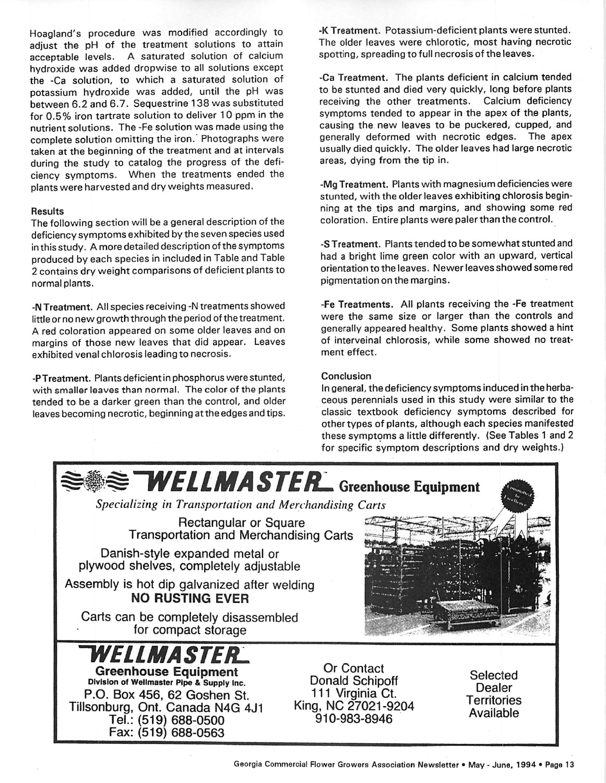Hoagland's procedure was modified accordingly to adjust the pH of the treatment solutions to attain acceptable levels. A saturated solution of calcium hydroxide was added dropwise to all solutions except the -Ca solution, to which a saturated solution of potassium hydroxide was added, until the pH was between 6.2 and 6.7. Sequestrine 138 was substituted for 0.5% iron tartrate solution to deliver 10 ppm in the nutrient solutions. The -Fe solution was made using the complete solution omitting the iron.' Photographs were taken at the beginning of the treatment and at intervals during the study to catalog the progress of the defi ciency symptoms. When the treatments ended the plants were harvested and dry weights measured.

#### *Results*

The following section will be a general description of the deficiency symptoms exhibited by the seven species used inthis study. A more detailed description of the symptoms produced by each species in included in Table and Table 2 contains dry weight comparisons of deficient plants to normal plants.

*-NTreatment.* Allspecies receiving -Ntreatments showed little or no new growth through the period of the treatment. A red coloration appeared on some older leaves and on margins of those new leaves that did appear. Leaves exhibited venal chlorosis leading to necrosis.

*-PTreatment.* Plants deficient in phosphorus were stunted, with smaller leaves than normal. The color of the plants tended to be a darker green than the control, and older leaves becoming necrotic, beginning at the edges and tips. -K *Treatment.* Potassium-deficient plants were stunted. The older leaves were chlorotic, most having necrotic spotting, spreading to full necrosis of the leaves.

-Ca *Treatment.* The plants deficient in calcium tended to be stunted and died very quickly, long before plants receiving the other treatments. Calcium deficiency symptoms tended to appear in the apex of the plants, causing the new leaves to be puckered, cupped, and generally deformed with necrotic edges. The apex usually died quickly. The older leaves had large necrotic areas, dying from the tip in.

-Mg Treatment. Plants with magnesium deficiencies were stunted, with the older leaves exhibiting chlorosis begin ning at the tips and margins, and showing some red coloration. Entire plants were paler than the control.

*-S Treatment.* Plants tended to be somewhat stunted and had a bright lime green color with an upward, vertical orientation to the leaves. Newer leaves showed some red pigmentation on the margins.

*-Fe Treatments.* All plants receiving the -Fe treatment were the same size or larger than the controls and generally appeared healthy. Some plants showed a hint of interveinal chlorosis, while some showed no treat ment effect.

#### Conclusion

In general, the deficiency symptoms induced in the herba ceous perennials used in this study were similar to the classic textbook deficiency symptoms described for other types of plants, although each species manifested these symptoms a little differently. (See Tables 1 and 2 for specific symptom descriptions and dry weights.)

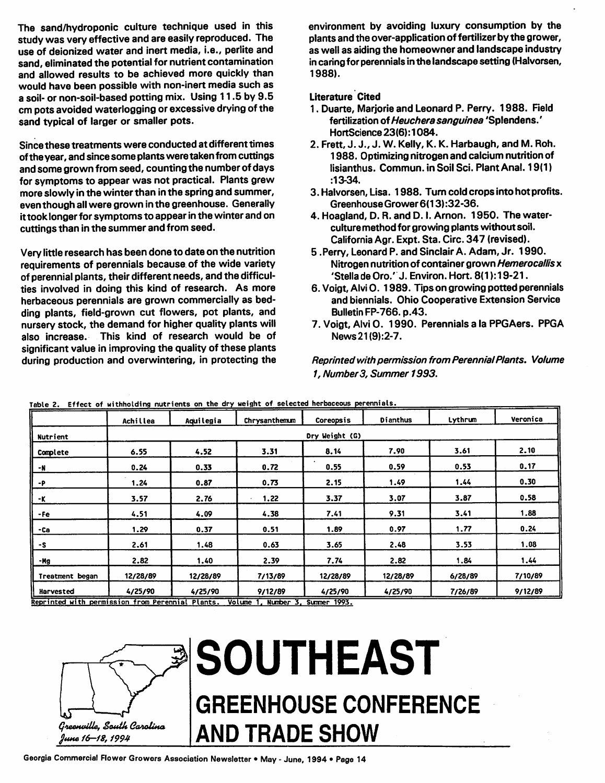*The sand/hydroponic culture technique used in this study was very effective and are easily reproduced. The use of deionized water and inert media, i.e., perlite and sand, eliminated the potential for nutrient contamination and allowed results to be achieved more quickly than would have been possible with non-inert media such as a soil- or non-soil-based potting mix. Using 11.5 by 9.5 cm pots avoided waterlogging or excessive drying of the sand typical of larger or smaller pots.*

*Since these treatments were conducted at different times ofthe year, and since some plantswere taken from cuttings and some grown from seed, counting the number of days forsymptoms to appear was not practical. Plants grew more slowly in the winterthan inthe spring and summer, even though allwere grown inthe greenhouse. Generally ittook longer for symptomsto appearinthe winter and on cuttingsthan in the summer and from seed.*

*Very little research has been done to date on the nutrition requirements of perennials because of the wide variety of perennial plants, their different needs, and the difficul ties involved in doing this kind of research. As more herbaceous perennials are grown commercially as bed ding plants, field-grown cut flowers, pot plants, and nursery stock, the demand for higher quality plants will also increase. This kind of research would be of significant value in improving the quality of these plants during production and overwintering, in protecting the* *environment by avoiding luxury consumption by the plants and the over-application of fertilizer by the grower, as well as aiding the homeowner and landscape industry incaring for perennialsinthe landscape setting (Halvorsen, 1988).*

#### *Literature Cited*

- *1. Duarte, Marjorie and Leonard P. Perry. 1988. Field fertilization ofHeucherasanguinea 'Splendens.' HortScience 23(6):1084.*
- *2. Frett, J. J., J. W. Kelly, K. K. Harbaugh, and M. Ron. 1988. Optimizing nitrogen and calcium nutrition of lisianthus. Commun. in Soil Sci. Plant Anal. 19(1) :13-34.*
- *3. Halvorsen, Lisa. 1988. Turn cold cropsinto hot profits. GreenhouseGrower6(13):32-36.*
- *4. Hoagland, D. R. and D. I. Arnon. 1950. The waterculture method for growing plants withoutsoil. California Agr. Expt. Sta. Circ. 347 (revised).*
- *5 .Perry, Leonard P. and Sinclair A. Adam, Jr. 1990. Nitrogen nutrition of container grown Hemerocallis x 'Stella de Oro.' J. Environ. Hort. 8(1 ):19-21.*
- *6. Voigt, Alvi 0. 1989. Tips on growing potted perennials and biennials. Ohio Cooperative Extension Service Bulletin FP-766.p.43.*
- *7. Voigt, Alvi 0. 1990. Perennials a la PPGAers. PPGA News21(9):2-7.*

*Reprintedwith permission from PerennialPlants. Volume 1, Number3, Summer 1993.*

|                 | Achillea       | Aquilegia | Chrysanthemum | Coreopsis | Dianthus | Lythrum | Veronica |  |  |
|-----------------|----------------|-----------|---------------|-----------|----------|---------|----------|--|--|
| Nutrient        | Dry Weight (G) |           |               |           |          |         |          |  |  |
| Complete        | 6.55           | 4.52      | 3.31          | 8.14      | 7.90     | 3.61    | 2.10     |  |  |
| -N              | 0.24           | 0.33      | 0.72          | 0.55      | 0.59     | 0.53    | 0.17     |  |  |
| -P              | 1.24           | 0.87      | 0.73          | 2.15      | 1.49     | 1.44    | 0.30     |  |  |
| -K              | 3.57           | 2.76      | 1,22          | 3.37      | 3.07     | 3.87    | 0.58     |  |  |
| -Fe             | 4.51           | 4.09      | 4.38          | 7.41      | 9.31     | 3.41    | 1.88     |  |  |
| -Ca             | 1.29           | 0.37      | 0.51          | 1.89      | 0.97     | 1.77    | 0.24     |  |  |
| $\cdot$ s       | 2.61           | 1.48      | 0.63          | 3.65      | 2.48     | 3.53    | 1.08     |  |  |
| -Mg             | 2.82           | 1.40      | 2.39          | 7.74      | 2.82     | 1.84    | 1.44     |  |  |
| Treatment began | 12/28/89       | 12/28/89  | 7/13/89       | 12/28/89  | 12/28/89 | 6/28/89 | 7/10/89  |  |  |
| Harvested       | 4/25/90        | 4/25/90   | 9/12/89       | 4/25/90   | 4/25/90  | 7/26/89 | 9/12/89  |  |  |

Reprinted with permission from Perennial Plants. Volume 1, Number 3, Summer 1993.



# *SOUTHEAST GREENHOUSE CONFERENCE AND TRADE SHOW*